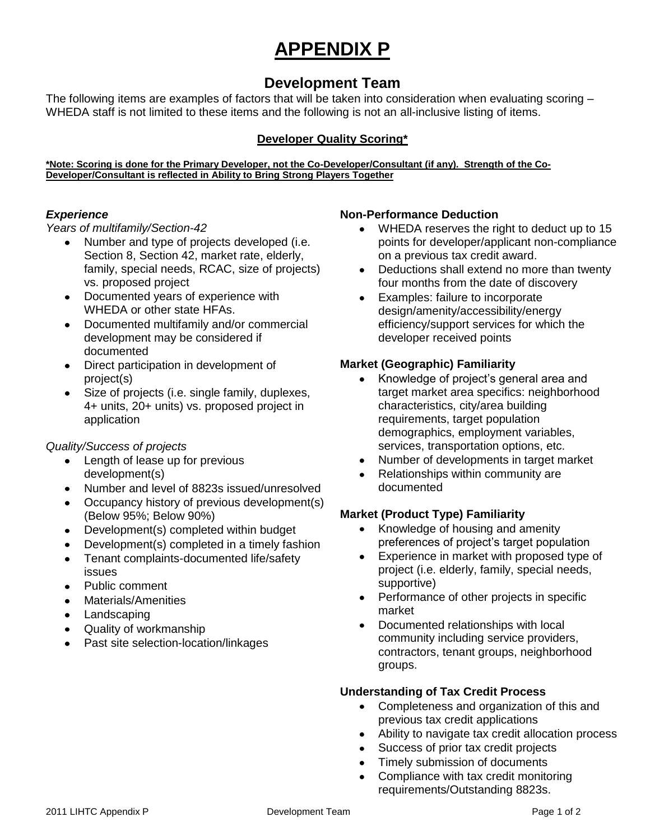# **APPENDIX P**

# **Development Team**

The following items are examples of factors that will be taken into consideration when evaluating scoring – WHEDA staff is not limited to these items and the following is not an all-inclusive listing of items.

## **Developer Quality Scoring\***

**\*Note: Scoring is done for the Primary Developer, not the Co-Developer/Consultant (if any). Strength of the Co-Developer/Consultant is reflected in Ability to Bring Strong Players Together**

#### *Experience*

*Years of multifamily/Section-42* 

- $\bullet$ Number and type of projects developed (i.e. Section 8, Section 42, market rate, elderly, family, special needs, RCAC, size of projects) vs. proposed project
- Documented years of experience with WHEDA or other state HFAs.
- Documented multifamily and/or commercial development may be considered if documented
- Direct participation in development of project(s)
- Size of projects (i.e. single family, duplexes,  $\bullet$ 4+ units, 20+ units) vs. proposed project in application

#### *Quality/Success of projects*

- Length of lease up for previous development(s)
- Number and level of 8823s issued/unresolved
- Occupancy history of previous development(s) (Below 95%; Below 90%)
- $\bullet$ Development(s) completed within budget
- Development(s) completed in a timely fashion  $\bullet$
- Tenant complaints-documented life/safety  $\bullet$ issues
- Public comment  $\bullet$
- Materials/Amenities  $\bullet$
- Landscaping
- Quality of workmanship
- Past site selection-location/linkages

#### **Non-Performance Deduction**

- WHEDA reserves the right to deduct up to 15  $\bullet$ points for developer/applicant non-compliance on a previous tax credit award.
- Deductions shall extend no more than twenty  $\bullet$ four months from the date of discovery
- $\bullet$ Examples: failure to incorporate design/amenity/accessibility/energy efficiency/support services for which the developer received points

#### **Market (Geographic) Familiarity**

- $\bullet$ Knowledge of project's general area and target market area specifics: neighborhood characteristics, city/area building requirements, target population demographics, employment variables, services, transportation options, etc.
- Number of developments in target market  $\bullet$
- Relationships within community are  $\bullet$ documented

#### **Market (Product Type) Familiarity**

- Knowledge of housing and amenity  $\bullet$ preferences of project's target population
- Experience in market with proposed type of  $\bullet$ project (i.e. elderly, family, special needs, supportive)
- $\bullet$ Performance of other projects in specific market
- $\bullet$ Documented relationships with local community including service providers, contractors, tenant groups, neighborhood groups.

#### **Understanding of Tax Credit Process**

- Completeness and organization of this and  $\bullet$ previous tax credit applications
- Ability to navigate tax credit allocation process  $\bullet$
- Success of prior tax credit projects
- Timely submission of documents  $\bullet$
- Compliance with tax credit monitoring  $\bullet$ requirements/Outstanding 8823s.